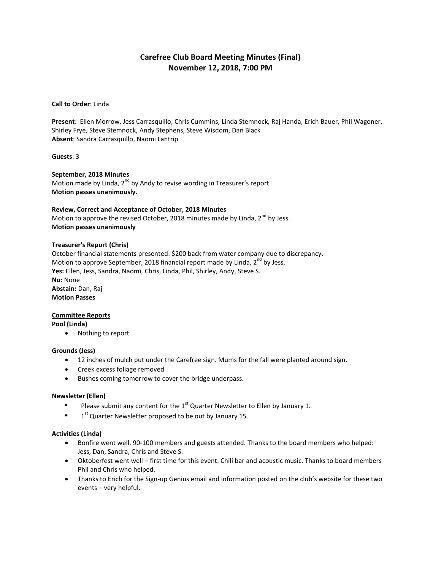# **Carefree Club Board Meeting Minutes (Final) November 12, 2018, 7:00 PM**

## **Call to Order**: Linda

**Present**: Ellen Morrow, Jess Carrasquillo, Chris Cummins, Linda Stemnock, Raj Handa, Erich Bauer, Phil Wagoner, Shirley Frye, Steve Stemnock, Andy Stephens, Steve Wisdom, Dan Black **Absent**: Sandra Carrasquillo, Naomi Lantrip

## **Guests**: 3

# **September, 2018 Minutes**

Motion made by Linda,  $2^{nd}$  by Andy to revise wording in Treasurer's report. **Motion passes unanimously.**

# **Review, Correct and Acceptance of October, 2018 Minutes**

Motion to approve the revised October, 2018 minutes made by Linda,  $2^{nd}$  by Jess. **Motion passes unanimously**

#### **Treasurer's Report (Chris)**

October financial statements presented. \$200 back from water company due to discrepancy. Motion to approve September, 2018 financial report made by Linda,  $2^{nd}$  by Jess. **Yes:** Ellen, Jess, Sandra, Naomi, Chris, Linda, Phil, Shirley, Andy, Steve S. **No:** None **Abstain:** Dan, Raj **Motion Passes**

# **Committee Reports**

**Pool (Linda)**

• Nothing to report

# **Grounds (Jess)**

- 12 inches of mulch put under the Carefree sign. Mums for the fall were planted around sign.
- Creek excess foliage removed
- Bushes coming tomorrow to cover the bridge underpass.

#### **Newsletter (Ellen)**

- Please submit any content for the  $1<sup>st</sup>$  Quarter Newsletter to Ellen by January 1.
- 1<sup>st</sup> Quarter Newsletter proposed to be out by January 15.

#### **Activities (Linda)**

- Bonfire went well. 90-100 members and guests attended. Thanks to the board members who helped: Jess, Dan, Sandra, Chris and Steve S.
- Oktoberfest went well first time for this event. Chili bar and acoustic music. Thanks to board members Phil and Chris who helped.
- Thanks to Erich for the Sign-up Genius email and information posted on the club's website for these two events – very helpful.